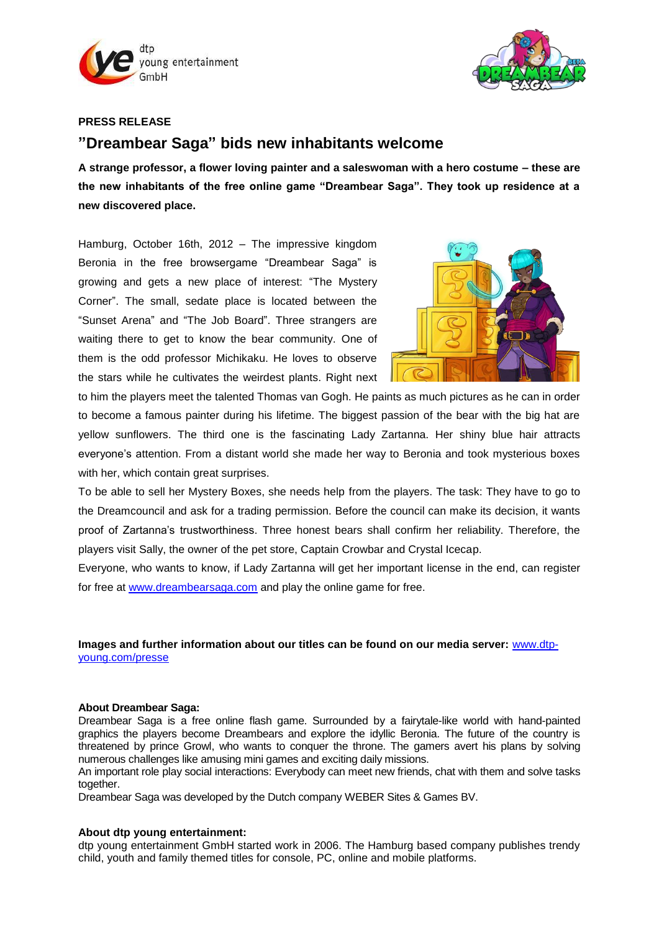



## **PRESS RELEASE**

# **"Dreambear Saga" bids new inhabitants welcome**

**A strange professor, a flower loving painter and a saleswoman with a hero costume – these are the new inhabitants of the free online game "Dreambear Saga". They took up residence at a new discovered place.** 

Hamburg, October 16th, 2012 – The impressive kingdom Beronia in the free browsergame "Dreambear Saga" is growing and gets a new place of interest: "The Mystery Corner". The small, sedate place is located between the "Sunset Arena" and "The Job Board". Three strangers are waiting there to get to know the bear community. One of them is the odd professor Michikaku. He loves to observe the stars while he cultivates the weirdest plants. Right next



to him the players meet the talented Thomas van Gogh. He paints as much pictures as he can in order to become a famous painter during his lifetime. The biggest passion of the bear with the big hat are yellow sunflowers. The third one is the fascinating Lady Zartanna. Her shiny blue hair attracts everyone's attention. From a distant world she made her way to Beronia and took mysterious boxes with her, which contain great surprises.

To be able to sell her Mystery Boxes, she needs help from the players. The task: They have to go to the Dreamcouncil and ask for a trading permission. Before the council can make its decision, it wants proof of Zartanna's trustworthiness. Three honest bears shall confirm her reliability. Therefore, the players visit Sally, the owner of the pet store, Captain Crowbar and Crystal Icecap.

Everyone, who wants to know, if Lady Zartanna will get her important license in the end, can register for free at [www.dreambearsaga.com](https://game.dreambearsaga.com/%22%20/l%20%22referrer=86ajlx97drfviot5&code=pm161012EN&language=en_GB) and play the online game for free.

### **Images and further information about our titles can be found on our media server:** [www.dtp](http://www.dtp-young.com/presse)[young.com/presse](http://www.dtp-young.com/presse)

#### **About Dreambear Saga:**

Dreambear Saga is a free online flash game. Surrounded by a fairytale-like world with hand-painted graphics the players become Dreambears and explore the idyllic Beronia. The future of the country is threatened by prince Growl, who wants to conquer the throne. The gamers avert his plans by solving numerous challenges like amusing mini games and exciting daily missions.

An important role play social interactions: Everybody can meet new friends, chat with them and solve tasks together.

Dreambear Saga was developed by the Dutch company WEBER Sites & Games BV.

#### **About dtp young entertainment:**

dtp young entertainment GmbH started work in 2006. The Hamburg based company publishes trendy child, youth and family themed titles for console, PC, online and mobile platforms.